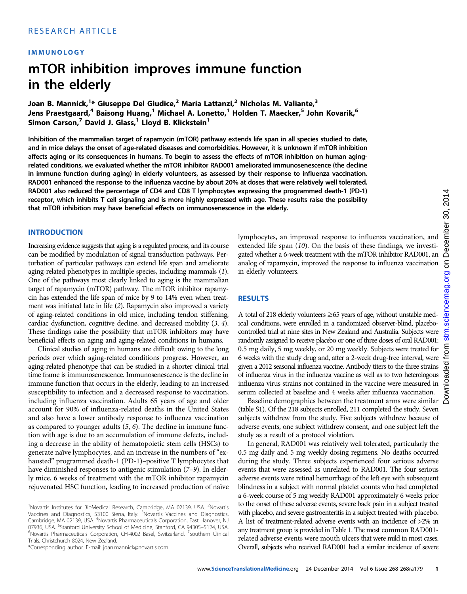#### IMMUNOLOGY

# mTOR inhibition improves immune function in the elderly

Joan B. Mannick,<sup>1</sup>\* Giuseppe Del Giudice,<sup>2</sup> Maria Lattanzi,<sup>2</sup> Nicholas M. Valiante,<sup>3</sup> Jens Praestgaard,<sup>4</sup> Baisong Huang,<sup>1</sup> Michael A. Lonetto,<sup>1</sup> Holden T. Maecker,<sup>5</sup> John Kovarik,<sup>6</sup> Simon Carson,<sup>7</sup> David J. Glass,<sup>1</sup> Lloyd B. Klickstein<sup>1</sup>

Inhibition of the mammalian target of rapamycin (mTOR) pathway extends life span in all species studied to date, and in mice delays the onset of age-related diseases and comorbidities. However, it is unknown if mTOR inhibition affects aging or its consequences in humans. To begin to assess the effects of mTOR inhibition on human agingrelated conditions, we evaluated whether the mTOR inhibitor RAD001 ameliorated immunosenescence (the decline in immune function during aging) in elderly volunteers, as assessed by their response to influenza vaccination. RAD001 enhanced the response to the influenza vaccine by about 20% at doses that were relatively well tolerated. RAD001 also reduced the percentage of CD4 and CD8 T lymphocytes expressing the programmed death-1 (PD-1) receptor, which inhibits T cell signaling and is more highly expressed with age. These results raise the possibility that mTOR inhibition may have beneficial effects on immunosenescence in the elderly.

#### **INTRODUCTION**

Increasing evidence suggests that aging is a regulated process, and its course can be modified by modulation of signal transduction pathways. Perturbation of particular pathways can extend life span and ameliorate aging-related phenotypes in multiple species, including mammals (1). One of the pathways most clearly linked to aging is the mammalian target of rapamycin (mTOR) pathway. The mTOR inhibitor rapamycin has extended the life span of mice by 9 to 14% even when treatment was initiated late in life (2). Rapamycin also improved a variety of aging-related conditions in old mice, including tendon stiffening, cardiac dysfunction, cognitive decline, and decreased mobility (3, 4). These findings raise the possibility that mTOR inhibitors may have beneficial effects on aging and aging-related conditions in humans.

Clinical studies of aging in humans are difficult owing to the long periods over which aging-related conditions progress. However, an aging-related phenotype that can be studied in a shorter clinical trial time frame is immunosenescence. Immunosenescence is the decline in immune function that occurs in the elderly, leading to an increased susceptibility to infection and a decreased response to vaccination, including influenza vaccination. Adults 65 years of age and older account for 90% of influenza-related deaths in the United States and also have a lower antibody response to influenza vaccination as compared to younger adults (5, 6). The decline in immune function with age is due to an accumulation of immune defects, including a decrease in the ability of hematopoietic stem cells (HSCs) to generate naïve lymphocytes, and an increase in the numbers of "exhausted" programmed death-1 (PD-1)–positive T lymphocytes that have diminished responses to antigenic stimulation (7–9). In elderly mice, 6 weeks of treatment with the mTOR inhibitor rapamycin rejuvenated HSC function, leading to increased production of naïve

lymphocytes, an improved response to influenza vaccination, and extended life span (10). On the basis of these findings, we investigated whether a 6-week treatment with the mTOR inhibitor RAD001, an analog of rapamycin, improved the response to influenza vaccination in elderly volunteers.

#### RESULTS

A total of 218 elderly volunteers ≥65 years of age, without unstable medical conditions, were enrolled in a randomized observer-blind, placebocontrolled trial at nine sites in New Zealand and Australia. Subjects were randomly assigned to receive placebo or one of three doses of oral RAD001: 0.5 mg daily, 5 mg weekly, or 20 mg weekly. Subjects were treated for 6 weeks with the study drug and, after a 2-week drug-free interval, were given a 2012 seasonal influenza vaccine. Antibody titers to the three strains of influenza virus in the influenza vaccine as well as to two heterologous influenza virus strains not contained in the vaccine were measured in serum collected at baseline and 4 weeks after influenza vaccination.

Baseline demographics between the treatment arms were similar (table S1). Of the 218 subjects enrolled, 211 completed the study. Seven subjects withdrew from the study. Five subjects withdrew because of adverse events, one subject withdrew consent, and one subject left the study as a result of a protocol violation.

In general, RAD001 was relatively well tolerated, particularly the 0.5 mg daily and 5 mg weekly dosing regimens. No deaths occurred during the study. Three subjects experienced four serious adverse events that were assessed as unrelated to RAD001. The four serious adverse events were retinal hemorrhage of the left eye with subsequent blindness in a subject with normal platelet counts who had completed a 6-week course of 5 mg weekly RAD001 approximately 6 weeks prior to the onset of these adverse events, severe back pain in a subject treated with placebo, and severe gastroenteritis in a subject treated with placebo. A list of treatment-related adverse events with an incidence of >2% in any treatment group is provided in Table 1. The most common RAD001 related adverse events were mouth ulcers that were mild in most cases. Overall, subjects who received RAD001 had a similar incidence of severe

<sup>&</sup>lt;sup>1</sup>Novartis Institutes for BioMedical Research, Cambridge, MA 02139, USA. <sup>2</sup>Novartis Vaccines and Diagnostics, 53100 Siena, Italy. <sup>3</sup>Novartis Vaccines and Diagnostics, Cambridge, MA 02139, USA. <sup>4</sup>Novartis Pharmaceuticals Corporation, East Hanover, NJ 07936, USA. <sup>5</sup>Stanford University School of Medicine, Stanford, CA 94305–5124, USA.<br><sup>6</sup>Novartis Pharmacouticals Corporation, CH 4002, Basel, Switzerland, <sup>7</sup>Southam, Clinical Novartis Pharmaceuticals Corporation, CH-4002 Basel, Switzerland. <sup>7</sup>Southern Clinical Trials, Christchurch 8024, New Zealand.

<sup>\*</sup>Corresponding author. E-mail: joan.mannick@novartis.com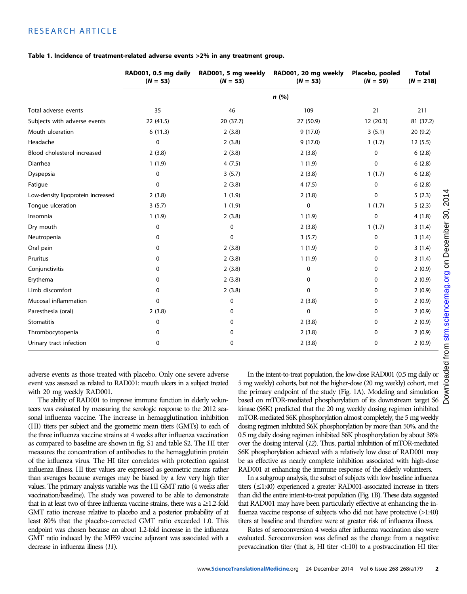|                                   | RAD001, 0.5 mg daily<br>$(N = 53)$ | RAD001, 5 mg weekly<br>$(N = 53)$ | RAD001, 20 mg weekly<br>$(N = 53)$ | Placebo, pooled<br>$(N = 59)$ | <b>Total</b><br>$(N = 218)$ |  |  |
|-----------------------------------|------------------------------------|-----------------------------------|------------------------------------|-------------------------------|-----------------------------|--|--|
|                                   | n(%)                               |                                   |                                    |                               |                             |  |  |
| Total adverse events              | 35                                 | 46                                | 109                                | 21                            | 211                         |  |  |
| Subjects with adverse events      | 22 (41.5)                          | 20 (37.7)                         | 27 (50.9)                          | 12(20.3)                      | 81 (37.2)                   |  |  |
| Mouth ulceration                  | 6(11.3)                            | 2(3.8)                            | 9(17.0)                            | 3(5.1)                        | 20(9.2)                     |  |  |
| Headache                          | 0                                  | 2(3.8)                            | 9(17.0)                            | 1(1.7)                        | 12(5.5)                     |  |  |
| Blood cholesterol increased       | 2(3.8)                             | 2(3.8)                            | 2(3.8)                             | 0                             | 6(2.8)                      |  |  |
| Diarrhea                          | 1(1.9)                             | 4(7.5)                            | 1(1.9)                             | 0                             | 6(2.8)                      |  |  |
| Dyspepsia                         | 0                                  | 3(5.7)                            | 2(3.8)                             | 1(1.7)                        | 6(2.8)                      |  |  |
| Fatigue                           | 0                                  | 2(3.8)                            | 4(7.5)                             | 0                             | 6(2.8)                      |  |  |
| Low-density lipoprotein increased | 2(3.8)                             | 1(1.9)                            | 2(3.8)                             | 0                             | 5(2.3)                      |  |  |
| Tongue ulceration                 | 3(5.7)                             | 1(1.9)                            | $\mathbf 0$                        | 1(1.7)                        | 5(2.3)                      |  |  |
| Insomnia                          | 1(1.9)                             | 2(3.8)                            | 1(1.9)                             | 0                             | 4(1.8)                      |  |  |
| Dry mouth                         | $\mathbf 0$                        | $\mathbf 0$                       | 2(3.8)                             | 1(1.7)                        | 3(1.4)                      |  |  |
| Neutropenia                       | 0                                  | $\mathbf{0}$                      | 3(5.7)                             | 0                             | 3(1.4)                      |  |  |
| Oral pain                         | 0                                  | 2(3.8)                            | 1(1.9)                             | 0                             | 3(1.4)                      |  |  |
| Pruritus                          | 0                                  | 2(3.8)                            | 1(1.9)                             | 0                             | 3(1.4)                      |  |  |
| Conjunctivitis                    | 0                                  | 2(3.8)                            | 0                                  | 0                             | 2(0.9)                      |  |  |
| Erythema                          | 0                                  | 2(3.8)                            | $\Omega$                           | 0                             | 2(0.9)                      |  |  |
| Limb discomfort                   | 0                                  | 2(3.8)                            | 0                                  | 0                             | 2(0.9)                      |  |  |
| Mucosal inflammation              | 0                                  | 0                                 | 2(3.8)                             | 0                             | 2(0.9)                      |  |  |
| Paresthesia (oral)                | 2(3.8)                             | 0                                 | $\mathbf 0$                        | 0                             | 2(0.9)                      |  |  |
| Stomatitis                        | 0                                  | 0                                 | 2(3.8)                             | 0                             | 2(0.9)                      |  |  |
| Thrombocytopenia                  | 0                                  | 0                                 | 2(3.8)                             | 0                             | 2(0.9)                      |  |  |
| Urinary tract infection           | 0                                  | 0                                 | 2(3.8)                             | 0                             | 2(0.9)                      |  |  |

#### Table 1. Incidence of treatment-related adverse events >2% in any treatment group.

adverse events as those treated with placebo. Only one severe adverse event was assessed as related to RAD001: mouth ulcers in a subject treated with 20 mg weekly RAD001.

The ability of RAD001 to improve immune function in elderly volunteers was evaluated by measuring the serologic response to the 2012 seasonal influenza vaccine. The increase in hemagglutination inhibition (HI) titers per subject and the geometric mean titers (GMTs) to each of the three influenza vaccine strains at 4 weeks after influenza vaccination as compared to baseline are shown in fig. S1 and table S2. The HI titer measures the concentration of antibodies to the hemagglutinin protein of the influenza virus. The HI titer correlates with protection against influenza illness. HI titer values are expressed as geometric means rather than averages because averages may be biased by a few very high titer values. The primary analysis variable was the HI GMT ratio (4 weeks after vaccination/baseline). The study was powered to be able to demonstrate that in at least two of three influenza vaccine strains, there was a  $\geq$ 1.2-fold GMT ratio increase relative to placebo and a posterior probability of at least 80% that the placebo-corrected GMT ratio exceeded 1.0. This endpoint was chosen because an about 1.2-fold increase in the influenza GMT ratio induced by the MF59 vaccine adjuvant was associated with a decrease in influenza illness (11).

In the intent-to-treat population, the low-dose RAD001 (0.5 mg daily or 5 mg weekly) cohorts, but not the higher-dose (20 mg weekly) cohort, met the primary endpoint of the study (Fig. 1A). Modeling and simulation based on mTOR-mediated phosphorylation of its downstream target S6 kinase (S6K) predicted that the 20 mg weekly dosing regimen inhibited mTOR-mediated S6K phosphorylation almost completely, the 5 mg weekly dosing regimen inhibited S6K phosphorylation by more than 50%, and the 0.5 mg daily dosing regimen inhibited S6K phosphorylation by about 38% over the dosing interval (12). Thus, partial inhibition of mTOR-mediated S6K phosphorylation achieved with a relatively low dose of RAD001 may be as effective as nearly complete inhibition associated with high-dose RAD001 at enhancing the immune response of the elderly volunteers.

In a subgroup analysis, the subset of subjects with low baseline influenza titers (≤1:40) experienced a greater RAD001-associated increase in titers than did the entire intent-to-treat population (Fig. 1B). These data suggested that RAD001 may have been particularly effective at enhancing the influenza vaccine response of subjects who did not have protective (>1:40) titers at baseline and therefore were at greater risk of influenza illness.

Rates of seroconversion 4 weeks after influenza vaccination also were evaluated. Seroconversion was defined as the change from a negative prevaccination titer (that is, HI titer <1:10) to a postvaccination HI titer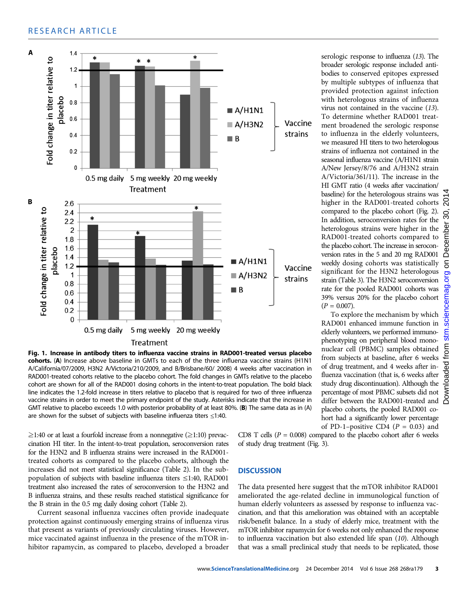## RESEARCH ARTICLE



Fig. 1. Increase in antibody titers to influenza vaccine strains in RAD001-treated versus placebo cohorts. (A) Increase above baseline in GMTs to each of the three influenza vaccine strains (H1N1 A/California/07/2009, H3N2 A/Victoria/210/2009, and B/Brisbane/60/ 2008) 4 weeks after vaccination in RAD001-treated cohorts relative to the placebo cohort. The fold changes in GMTs relative to the placebo cohort are shown for all of the RAD001 dosing cohorts in the intent-to-treat population. The bold black line indicates the 1.2-fold increase in titers relative to placebo that is required for two of three influenza vaccine strains in order to meet the primary endpoint of the study. Asterisks indicate that the increase in GMT relative to placebo exceeds 1.0 with posterior probability of at least 80%. (B) The same data as in (A) are shown for the subset of subjects with baseline influenza titers ≤1:40.

 $\geq$ 1:40 or at least a fourfold increase from a nonnegative ( $\geq$ 1:10) prevaccination HI titer. In the intent-to-treat population, seroconversion rates for the H3N2 and B influenza strains were increased in the RAD001 treated cohorts as compared to the placebo cohorts, although the increases did not meet statistical significance (Table 2). In the subpopulation of subjects with baseline influenza titers ≤1:40, RAD001 treatment also increased the rates of seroconversion to the H3N2 and B influenza strains, and these results reached statistical significance for the B strain in the 0.5 mg daily dosing cohort (Table 2).

Current seasonal influenza vaccines often provide inadequate protection against continuously emerging strains of influenza virus that present as variants of previously circulating viruses. However, mice vaccinated against influenza in the presence of the mTOR inhibitor rapamycin, as compared to placebo, developed a broader

serologic response to influenza (13). The broader serologic response included antibodies to conserved epitopes expressed by multiple subtypes of influenza that provided protection against infection with heterologous strains of influenza virus not contained in the vaccine (13). To determine whether RAD001 treatment broadened the serologic response to influenza in the elderly volunteers, we measured HI titers to two heterologous strains of influenza not contained in the seasonal influenza vaccine (A/H1N1 strain A/New Jersey/8/76 and A/H3N2 strain A/Victoria/361/11). The increase in the HI GMT ratio (4 weeks after vaccination/ baseline) for the heterologous strains was higher in the RAD001-treated cohorts  $\mathcal{R}$ compared to the placebo cohort (Fig. 2). In addition, seroconversion rates for the heterologous strains were higher in the RAD001-treated cohorts compared to the placebo cohort. The increase in seroconversion rates in the 5 and 20 mg RAD001 weekly dosing cohorts was statistically significant for the H3N2 heterologous strain (Table 3). The H3N2 seroconversion rate for the pooled RAD001 cohorts was 39% versus 20% for the placebo cohort  $(P = 0.007).$ 

To explore the mechanism by which RAD001 enhanced immune function in elderly volunteers, we performed immunophenotyping on peripheral blood mononuclear cell (PBMC) samples obtained from subjects at baseline, after 6 weeks of drug treatment, and 4 weeks after influenza vaccination (that is, 6 weeks after study drug discontinuation). Although the percentage of most PBMC subsets did not differ between the RAD001-treated and placebo cohorts, the pooled RAD001 cohort had a significantly lower percentage of PD-1–positive CD4 ( $P = 0.03$ ) and

CD8 T cells ( $P = 0.008$ ) compared to the placebo cohort after 6 weeks of study drug treatment (Fig. 3).

## **DISCUSSION**

The data presented here suggest that the mTOR inhibitor RAD001 ameliorated the age-related decline in immunological function of human elderly volunteers as assessed by response to influenza vaccination, and that this amelioration was obtained with an acceptable risk/benefit balance. In a study of elderly mice, treatment with the mTOR inhibitor rapamycin for 6 weeks not only enhanced the response to influenza vaccination but also extended life span (10). Although that was a small preclinical study that needs to be replicated, those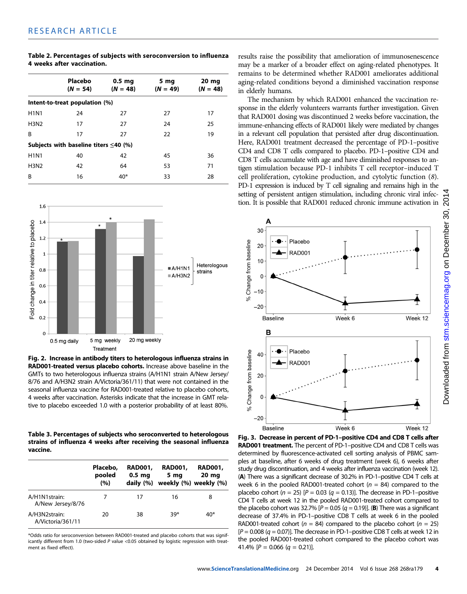| Table 2. Percentages of subjects with seroconversion to influenza |  |
|-------------------------------------------------------------------|--|
| 4 weeks after vaccination.                                        |  |

|                                             | Placebo<br>$(N = 54)$ | $0.5$ mg<br>$(N = 48)$ | 5 mg<br>$(N = 49)$ | 20 mg<br>$(N = 48)$ |  |  |  |
|---------------------------------------------|-----------------------|------------------------|--------------------|---------------------|--|--|--|
| Intent-to-treat population (%)              |                       |                        |                    |                     |  |  |  |
| <b>H1N1</b>                                 | 24                    | 27                     | 27                 | 17                  |  |  |  |
| <b>H3N2</b>                                 | 17                    | 27                     | 24                 | 25                  |  |  |  |
| B                                           | 17                    | 27                     | 22                 | 19                  |  |  |  |
| Subjects with baseline titers $\leq$ 40 (%) |                       |                        |                    |                     |  |  |  |
| <b>H1N1</b>                                 | 40                    | 42                     | 45                 | 36                  |  |  |  |
| <b>H3N2</b>                                 | 42                    | 64                     | 53                 | 71                  |  |  |  |
| R                                           | 16                    | $40*$                  | 33                 | 28                  |  |  |  |
|                                             |                       |                        |                    |                     |  |  |  |



Fig. 2. Increase in antibody titers to heterologous influenza strains in RAD001-treated versus placebo cohorts. Increase above baseline in the GMTs to two heterologous influenza strains (A/H1N1 strain A/New Jersey/ 8/76 and A/H3N2 strain A/Victoria/361/11) that were not contained in the seasonal influenza vaccine for RAD001-treated relative to placebo cohorts, 4 weeks after vaccination. Asterisks indicate that the increase in GMT relative to placebo exceeded 1.0 with a posterior probability of at least 80%.

Table 3. Percentages of subjects who seroconverted to heterologous strains of influenza 4 weeks after receiving the seasonal influenza vaccine.

|                                    | Placebo,<br>pooled<br>(%) | <b>RAD001.</b><br>0.5 <sub>mg</sub><br>daily $(%)$ | <b>RAD001.</b><br>5 mg | <b>RAD001,</b><br>20 <sub>mg</sub><br>weekly (%) weekly (%) |
|------------------------------------|---------------------------|----------------------------------------------------|------------------------|-------------------------------------------------------------|
| A/H1N1strain:<br>A/New Jersey/8/76 |                           | 17                                                 | 16                     | 8                                                           |
| A/H3N2strain:<br>A/Victoria/361/11 | 20                        | 38                                                 | $39*$                  | $40*$                                                       |

\*Odds ratio for seroconversion between RAD001-treated and placebo cohorts that was significantly different from 1.0 (two-sided P value <0.05 obtained by logistic regression with treatment as fixed effect).

results raise the possibility that amelioration of immunosenescence may be a marker of a broader effect on aging-related phenotypes. It remains to be determined whether RAD001 ameliorates additional aging-related conditions beyond a diminished vaccination response in elderly humans.

The mechanism by which RAD001 enhanced the vaccination response in the elderly volunteers warrants further investigation. Given that RAD001 dosing was discontinued 2 weeks before vaccination, the immune-enhancing effects of RAD001 likely were mediated by changes in a relevant cell population that persisted after drug discontinuation. Here, RAD001 treatment decreased the percentage of PD-1–positive CD4 and CD8 T cells compared to placebo. PD-1–positive CD4 and CD8 T cells accumulate with age and have diminished responses to antigen stimulation because PD-1 inhibits T cell receptor–induced T cell proliferation, cytokine production, and cytolytic function (8). PD-1 expression is induced by T cell signaling and remains high in the setting of persistent antigen stimulation, including chronic viral infection. It is possible that RAD001 reduced chronic immune activation in



Fig. 3. Decrease in percent of PD-1*–*positive CD4 and CD8 T cells after RAD001 treatment. The percent of PD-1-positive CD4 and CD8 T cells was determined by fluorescence-activated cell sorting analysis of PBMC samples at baseline, after 6 weeks of drug treatment (week 6), 6 weeks after study drug discontinuation, and 4 weeks after influenza vaccination (week 12). (A) There was a significant decrease of 30.2% in PD-1–positive CD4 T cells at week 6 in the pooled RAD001-treated cohort ( $n = 84$ ) compared to the placebo cohort ( $n = 25$ ) [ $P = 0.03$  ( $q = 0.13$ ]]. The decrease in PD-1-positive CD4 T cells at week 12 in the pooled RAD001-treated cohort compared to the placebo cohort was 32.7%  $[P = 0.05 (q = 0.19)]$ . (B) There was a significant decrease of 37.4% in PD-1–positive CD8 T cells at week 6 in the pooled RAD001-treated cohort ( $n = 84$ ) compared to the placebo cohort ( $n = 25$ )  $[P = 0.008 (q = 0.07)]$ . The decrease in PD-1-positive CD8 T cells at week 12 in the pooled RAD001-treated cohort compared to the placebo cohort was 41.4%  $[P = 0.066 (q = 0.21)].$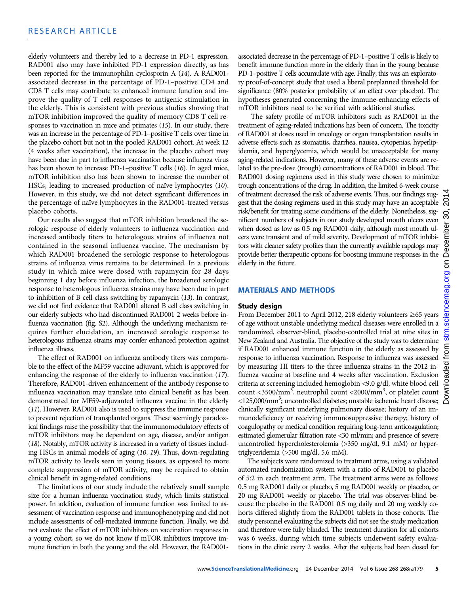elderly volunteers and thereby led to a decrease in PD-1 expression. RAD001 also may have inhibited PD-1 expression directly, as has been reported for the immunophilin cyclosporin A (14). A RAD001 associated decrease in the percentage of PD-1–positive CD4 and CD8 T cells may contribute to enhanced immune function and improve the quality of T cell responses to antigenic stimulation in the elderly. This is consistent with previous studies showing that mTOR inhibition improved the quality of memory CD8 T cell responses to vaccination in mice and primates (15). In our study, there was an increase in the percentage of PD-1–positive T cells over time in the placebo cohort but not in the pooled RAD001 cohort. At week 12 (4 weeks after vaccination), the increase in the placebo cohort may have been due in part to influenza vaccination because influenza virus has been shown to increase PD-1–positive T cells (16). In aged mice, mTOR inhibition also has been shown to increase the number of HSCs, leading to increased production of naïve lymphocytes (10). However, in this study, we did not detect significant differences in the percentage of naïve lymphocytes in the RAD001-treated versus placebo cohorts.

Our results also suggest that mTOR inhibition broadened the serologic response of elderly volunteers to influenza vaccination and increased antibody titers to heterologous strains of influenza not contained in the seasonal influenza vaccine. The mechanism by which RAD001 broadened the serologic response to heterologous strains of influenza virus remains to be determined. In a previous study in which mice were dosed with rapamycin for 28 days beginning 1 day before influenza infection, the broadened serologic response to heterologous influenza strains may have been due in part to inhibition of B cell class switching by rapamycin (13). In contrast, we did not find evidence that RAD001 altered B cell class switching in our elderly subjects who had discontinued RAD001 2 weeks before influenza vaccination (fig. S2). Although the underlying mechanism requires further elucidation, an increased serologic response to heterologous influenza strains may confer enhanced protection against influenza illness.

The effect of RAD001 on influenza antibody titers was comparable to the effect of the MF59 vaccine adjuvant, which is approved for enhancing the response of the elderly to influenza vaccination (17). Therefore, RAD001-driven enhancement of the antibody response to influenza vaccination may translate into clinical benefit as has been demonstrated for MF59-adjuvanted influenza vaccine in the elderly (11). However, RAD001 also is used to suppress the immune response to prevent rejection of transplanted organs. These seemingly paradoxical findings raise the possibility that the immunomodulatory effects of mTOR inhibitors may be dependent on age, disease, and/or antigen (18). Notably, mTOR activity is increased in a variety of tissues including HSCs in animal models of aging (10, 19). Thus, down-regulating mTOR activity to levels seen in young tissues, as opposed to more complete suppression of mTOR activity, may be required to obtain clinical benefit in aging-related conditions.

The limitations of our study include the relatively small sample size for a human influenza vaccination study, which limits statistical power. In addition, evaluation of immune function was limited to assessment of vaccination response and immunophenotyping and did not include assessments of cell-mediated immune function. Finally, we did not evaluate the effect of mTOR inhibitors on vaccination responses in a young cohort, so we do not know if mTOR inhibitors improve immune function in both the young and the old. However, the RAD001-

associated decrease in the percentage of PD-1–positive T cells is likely to benefit immune function more in the elderly than in the young because PD-1–positive T cells accumulate with age. Finally, this was an exploratory proof-of-concept study that used a liberal preplanned threshold for significance (80% posterior probability of an effect over placebo). The hypotheses generated concerning the immune-enhancing effects of mTOR inhibitors need to be verified with additional studies.

The safety profile of mTOR inhibitors such as RAD001 in the treatment of aging-related indications has been of concern. The toxicity of RAD001 at doses used in oncology or organ transplantation results in adverse effects such as stomatitis, diarrhea, nausea, cytopenias, hyperlipidemia, and hyperglycemia, which would be unacceptable for many aging-related indications. However, many of these adverse events are related to the pre-dose (trough) concentrations of RAD001 in blood. The RAD001 dosing regimens used in this study were chosen to minimize trough concentrations of the drug. In addition, the limited 6-week course of treatment decreased the risk of adverse events. Thus, our findings suggest that the dosing regimens used in this study may have an acceptable  $\mathcal{R}$ risk/benefit for treating some conditions of the elderly. Nonetheless, significant numbers of subjects in our study developed mouth ulcers even when dosed as low as 0.5 mg RAD001 daily, although most mouth ulcers were transient and of mild severity. Development of mTOR inhibitors with cleaner safety profiles than the currently available rapalogs may provide better therapeutic options for boosting immune responses in the elderly in the future.

#### MATERIALS AND METHODS

#### Study design

From December 2011 to April 2012, 218 elderly volunteers ≥65 years of age without unstable underlying medical diseases were enrolled in a randomized, observer-blind, placebo-controlled trial at nine sites in New Zealand and Australia. The objective of the study was to determine if RAD001 enhanced immune function in the elderly as assessed by response to influenza vaccination. Response to influenza was assessed by measuring HI titers to the three influenza strains in the 2012 influenza vaccine at baseline and 4 weeks after vaccination. Exclusion criteria at screening included hemoglobin <9.0 g/dl, white blood cell count <3500/mm<sup>3</sup>, neutrophil count <2000/mm<sup>3</sup>, or platelet count <125,000/mm<sup>3</sup>; uncontrolled diabetes; unstable ischemic heart disease; clinically significant underlying pulmonary disease; history of an immunodeficiency or receiving immunosuppressive therapy; history of coagulopathy or medical condition requiring long-term anticoagulation; estimated glomerular filtration rate <30 ml/min; and presence of severe uncontrolled hypercholesterolemia (>350 mg/dl, 9.1 mM) or hypertriglyceridemia (>500 mg/dl, 5.6 mM).

The subjects were randomized to treatment arms, using a validated automated randomization system with a ratio of RAD001 to placebo of 5:2 in each treatment arm. The treatment arms were as follows: 0.5 mg RAD001 daily or placebo, 5 mg RAD001 weekly or placebo, or 20 mg RAD001 weekly or placebo. The trial was observer-blind because the placebo in the RAD001 0.5 mg daily and 20 mg weekly cohorts differed slightly from the RAD001 tablets in those cohorts. The study personnel evaluating the subjects did not see the study medication and therefore were fully blinded. The treatment duration for all cohorts was 6 weeks, during which time subjects underwent safety evaluations in the clinic every 2 weeks. After the subjects had been dosed for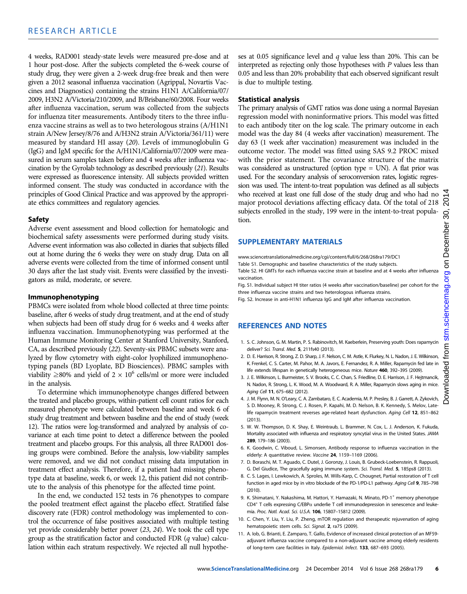4 weeks, RAD001 steady-state levels were measured pre-dose and at 1 hour post-dose. After the subjects completed the 6-week course of study drug, they were given a 2-week drug-free break and then were given a 2012 seasonal influenza vaccination (Agrippal, Novartis Vaccines and Diagnostics) containing the strains H1N1 A/California/07/ 2009, H3N2 A/Victoria/210/2009, and B/Brisbane/60/2008. Four weeks after influenza vaccination, serum was collected from the subjects for influenza titer measurements. Antibody titers to the three influenza vaccine strains as well as to two heterologous strains (A/H1N1 strain A/New Jersey/8/76 and A/H3N2 strain A/Victoria/361/11) were measured by standard HI assay (20). Levels of immunoglobulin G (IgG) and IgM specific for the A/H1N1/California/07/2009 were measured in serum samples taken before and 4 weeks after influenza vaccination by the Gyrolab technology as described previously (21). Results were expressed as fluorescence intensity. All subjects provided written informed consent. The study was conducted in accordance with the principles of Good Clinical Practice and was approved by the appropriate ethics committees and regulatory agencies.

#### Safety

Adverse event assessment and blood collection for hematologic and biochemical safety assessments were performed during study visits. Adverse event information was also collected in diaries that subjects filled out at home during the 6 weeks they were on study drug. Data on all adverse events were collected from the time of informed consent until 30 days after the last study visit. Events were classified by the investigators as mild, moderate, or severe.

#### Immunophenotyping

PBMCs were isolated from whole blood collected at three time points: baseline, after 6 weeks of study drug treatment, and at the end of study when subjects had been off study drug for 6 weeks and 4 weeks after influenza vaccination. Immunophenotyping was performed at the Human Immune Monitoring Center at Stanford University, Stanford, CA, as described previously (22). Seventy-six PBMC subsets were analyzed by flow cytometry with eight-color lyophilized immunophenotyping panels (BD Lyoplate, BD Biosciences). PBMC samples with viability  $\geq$ 80% and yield of 2 × 10<sup>6</sup> cells/ml or more were included in the analysis.

To determine which immunophenotype changes differed between the treated and placebo groups, within-patient cell count ratios for each measured phenotype were calculated between baseline and week 6 of study drug treatment and between baseline and the end of study (week 12). The ratios were log-transformed and analyzed by analysis of covariance at each time point to detect a difference between the pooled treatment and placebo groups. For this analysis, all three RAD001 dosing groups were combined. Before the analysis, low-viability samples were removed, and we did not conduct missing data imputation in treatment effect analysis. Therefore, if a patient had missing phenotype data at baseline, week 6, or week 12, this patient did not contribute to the analysis of this phenotype for the affected time point.

In the end, we conducted 152 tests in 76 phenotypes to compare the pooled treatment effect against the placebo effect. Stratified false discovery rate (FDR) control methodology was implemented to control the occurrence of false positives associated with multiple testing yet provide considerably better power (23, 24). We took the cell type group as the stratification factor and conducted FDR (q value) calculation within each stratum respectively. We rejected all null hypotheses at 0.05 significance level and  $q$  value less than 20%. This can be interpreted as rejecting only those hypotheses with P values less than 0.05 and less than 20% probability that each observed significant result is due to multiple testing.

## Statistical analysis

The primary analysis of GMT ratios was done using a normal Bayesian regression model with noninformative priors. This model was fitted to each antibody titer on the log scale. The primary outcome in each model was the day 84 (4 weeks after vaccination) measurement. The day 63 (1 week after vaccination) measurement was included in the outcome vector. The model was fitted using SAS 9.2 PROC mixed with the prior statement. The covariance structure of the matrix was considered as unstructured (option type = UN). A flat prior was used. For the secondary analysis of seroconversion rates, logistic regression was used. The intent-to-treat population was defined as all subjects who received at least one full dose of the study drug and who had no major protocol deviations affecting efficacy data. Of the total of 218  $\%$ subjects enrolled in the study, 199 were in the intent-to-treat population.

## SUPPLEMENTARY MATERIALS

www.sciencetranslationalmedicine.org/cgi/content/full/6/268/268ra179/DC1

Table S1. Demographic and baseline characteristics of the study subjects. Table S2. HI GMTs for each influenza vaccine strain at baseline and at 4 weeks after influenza vaccination.

Fig. S1. Individual subject HI titer ratios (4 weeks after vaccination/baseline) per cohort for the three influenza vaccine strains and two heterologous influenza strains.

Fig. S2. Increase in anti-H1N1 influenza IgG and IgM after influenza vaccination.

## REFERENCES AND NOTES

- 1. S. C. Johnson, G. M. Martin, P. S. Rabinovitch, M. Kaeberlein, Preserving youth: Does rapamycin deliver? Sci. Transl. Med. 5, 211fs40 (2013).
- 2. D. E. Harrison, R. Strong, Z. D. Sharp, J. F. Nelson, C. M. Astle, K. Flurkey, N. L. Nadon, J. E. Wilkinson, K. Frenkel, C. S. Carter, M. Pahor, M. A. Javors, E. Fernandez, R. A. Miller, Rapamycin fed late in life extends lifespan in genetically heterogeneous mice. Nature 460, 392-395 (2009).
- 3. J. E. Wilkinson, L. Burmeister, S. V. Brooks, C. C. Chan, S. Friedline, D. E. Harrison, J. F. Hejtmancik, N. Nadon, R. Strong, L. K. Wood, M. A. Woodward, R. A. Miller, Rapamycin slows aging in mice. Aging Cell 11, 675-682 (2012).
- 4. J. M. Flynn, M. N. O'Leary, C. A. Zambataro, E. C. Academia, M. P. Presley, B. J. Garrett, A. Zykovich, S. D. Mooney, R. Strong, C. J. Rosen, P. Kapahi, M. D. Nelson, B. K. Kennedy, S. Melov, Latelife rapamycin treatment reverses age-related heart dysfunction. Aging Cell 12, 851–862 (2013).
- 5. W. W. Thompson, D. K. Shay, E. Weintraub, L. Brammer, N. Cox, L. J. Anderson, K. Fukuda, Mortality associated with influenza and respiratory syncytial virus in the United States. JAMA 289, 179–186 (2003).
- 6. K. Goodwin, C. Viboud, L. Simonsen, Antibody response to influenza vaccination in the elderly: A quantitative review. Vaccine 24, 1159-1169 (2006).
- 7. D. Boraschi, M. T. Aguado, C. Dutel, J. Goronzy, J. Louis, B. Grubeck-Loebenstein, R. Rappuoli, G. Del Giudice, The gracefully aging immune system. Sci. Transl. Med. 5, 185ps8 (2013).
- 8. C. S. Lages, I. Lewkowich, A. Sproles, M. Wills-Karp, C. Chougnet, Partial restoration of T cell function in aged mice by in vitro blockade of the PD-1/PD-L1 pathway. Aging Cell 9, 785-798 (2010).
- 9. K. Shimatani, Y. Nakashima, M. Hattori, Y. Hamazaki, N. Minato, PD-1<sup>+</sup> memory phenotype CD4+ T cells expressing C/EBP*a* underlie T cell immunodepression in senescence and leukemia. Proc. Natl. Acad. Sci. U.S.A. 106, 15807–15812 (2009).
- 10. C. Chen, Y. Liu, Y. Liu, P. Zheng, mTOR regulation and therapeutic rejuvenation of aging hematopoietic stem cells. Sci. Signal. 2, ra75 (2009).
- 11. A. Iob, G. Brianti, E. Zamparo, T. Gallo, Evidence of increased clinical protection of an MF59 adjuvant influenza vaccine compared to a non-adjuvant vaccine among elderly residents of long-term care facilities in Italy. Epidemiol. Infect. 133, 687–693 (2005).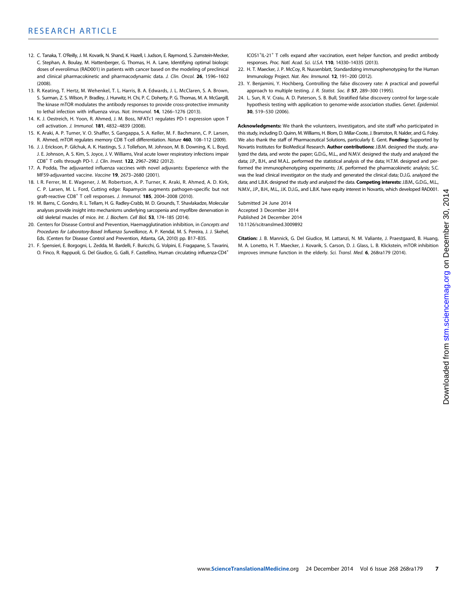- 12. C. Tanaka, T. O'Reilly, J. M. Kovarik, N. Shand, K. Hazell, I. Judson, E. Raymond, S. Zumstein-Mecker, C. Stephan, A. Boulay, M. Hattenberger, G. Thomas, H. A. Lane, Identifying optimal biologic doses of everolimus (RAD001) in patients with cancer based on the modeling of preclinical and clinical pharmacokinetic and pharmacodynamic data. J. Clin. Oncol. 26, 1596-1602 (2008).
- 13. R. Keating, T. Hertz, M. Wehenkel, T. L. Harris, B. A. Edwards, J. L. McClaren, S. A. Brown, S. Surman, Z. S. Wilson, P. Bradley, J. Hurwitz, H. Chi, P. C. Doherty, P. G. Thomas, M. A. McGargill, The kinase mTOR modulates the antibody responses to provide cross-protective immunity to lethal infection with influenza virus. Nat. Immunol. 14, 1266–1276 (2013).
- 14. K. J. Oestreich, H. Yoon, R. Ahmed, J. M. Boss, NFATc1 regulates PD-1 expression upon T cell activation. J. Immunol. 181, 4832–4839 (2008).
- 15. K. Araki, A. P. Turner, V. O. Shaffer, S. Gangappa, S. A. Keller, M. F. Bachmann, C. P. Larsen, R. Ahmed, mTOR regulates memory CD8 T-cell differentiation. Nature 460, 108-112 (2009).
- 16. J. J. Erickson, P. Gilchuk, A. K. Hastings, S. J. Tollefson, M. Johnson, M. B. Downing, K. L. Boyd, J. E. Johnson, A. S. Kim, S. Joyce, J. V. Williams, Viral acute lower respiratory infections impair CD8+ T cells through PD-1. J. Clin. Invest. 122, 2967–2982 (2012).
- 17. A. Podda, The adjuvanted influenza vaccines with novel adjuvants: Experience with the MF59-adjuvanted vaccine. Vaccine 19, 2673–2680 (2001).
- 18. I. R. Ferrer, M. E. Wagener, J. M. Robertson, A. P. Turner, K. Araki, R. Ahmed, A. D. Kirk, C. P. Larsen, M. L. Ford, Cutting edge: Rapamycin augments pathogen-specific but not graft-reactive CD8<sup>+</sup> T cell responses. J. Immunol. 185, 2004–2008 (2010).
- 19. M. Barns, C. Gondro, R. L. Tellam, H. G. Radley-Crabb, M. D. Grounds, T. Shavlakadze, Molecular analyses provide insight into mechanisms underlying sarcopenia and myofibre denervation in old skeletal muscles of mice. Int. J. Biochem. Cell Biol. 53, 174-185 (2014).
- 20. Centers for Disease Control and Prevention, Haemagglutination inhibition, in Concepts and Procedures for Laboratory-Based Influenza Surveillance, A. P. Kendal, M. S. Pereira, J. J. Skehel, Eds. (Centers for Disease Control and Prevention, Atlanta, GA, 2010) pp. B17–B35.
- 21. F. Spensieri, E. Borgogni, L. Zedda, M. Bardelli, F. Buricchi, G. Volpini, E. Fragapane, S. Tavarini, O. Finco, R. Rappuoli, G. Del Giudice, G. Galli, F. Castellino, Human circulating influenza-CD4+

ICOS1<sup>+</sup>IL-21<sup>+</sup> T cells expand after vaccination, exert helper function, and predict antibody responses. Proc. Natl. Acad. Sci. U.S.A. 110, 14330–14335 (2013).

- 22. H. T. Maecker, J. P. McCoy, R. Nussenblatt, Standardizing immunophenotyping for the Human Immunology Project. Nat. Rev. Immunol. 12, 191–200 (2012).
- 23. Y. Benjamini, Y. Hochberg, Controlling the false discovery rate: A practical and powerful approach to multiple testing. J. R. Statist. Soc. B 57, 289–300 (1995).
- 24. L. Sun, R. V. Craiu, A. D. Paterson, S. B. Bull, Stratified false discovery control for large-scale hypothesis testing with application to genome-wide association studies. Genet. Epidemiol. 30, 519–530 (2006).

Acknowledgments: We thank the volunteers, investigators, and site staff who participated in this study, including D. Quinn, M. Williams, H. Blom, D. Millar-Coote, J. Bramston, R. Nalder, and G. Foley. We also thank the staff of Pharmaceutical Solutions, particularly E. Gent. Funding: Supported by Novartis Institutes for BioMedical Research. Author contributions: J.B.M. designed the study, analyzed the data, and wrote the paper; G.D.G., M.L., and N.M.V. designed the study and analyzed the data; J.P., B.H., and M.A.L. performed the statistical analysis of the data; H.T.M. designed and performed the immunophenotyping experiments; J.K. performed the pharmacokinetic analysis; S.C. was the lead clinical investigator on the study and generated the clinical data; D.J.G. analyzed the data; and L.B.K. designed the study and analyzed the data. Competing interests: J.B.M., G.D.G., M.L., N.M.V., J.P., B.H., M.L., J.K. D.J.G., and L.B.K. have equity interest in Novartis, which developed RAD001.

Submitted 24 June 2014 Accepted 3 December 2014 Published 24 December 2014 10.1126/scitranslmed.3009892

Citation: J. B. Mannick, G. Del Giudice, M. Lattanzi, N. M. Valiante, J. Praestgaard, B. Huang, M. A. Lonetto, H. T. Maecker, J. Kovarik, S. Carson, D. J. Glass, L. B. Klickstein, mTOR inhibition improves immune function in the elderly. Sci. Transl. Med. 6, 268ra179 (2014).